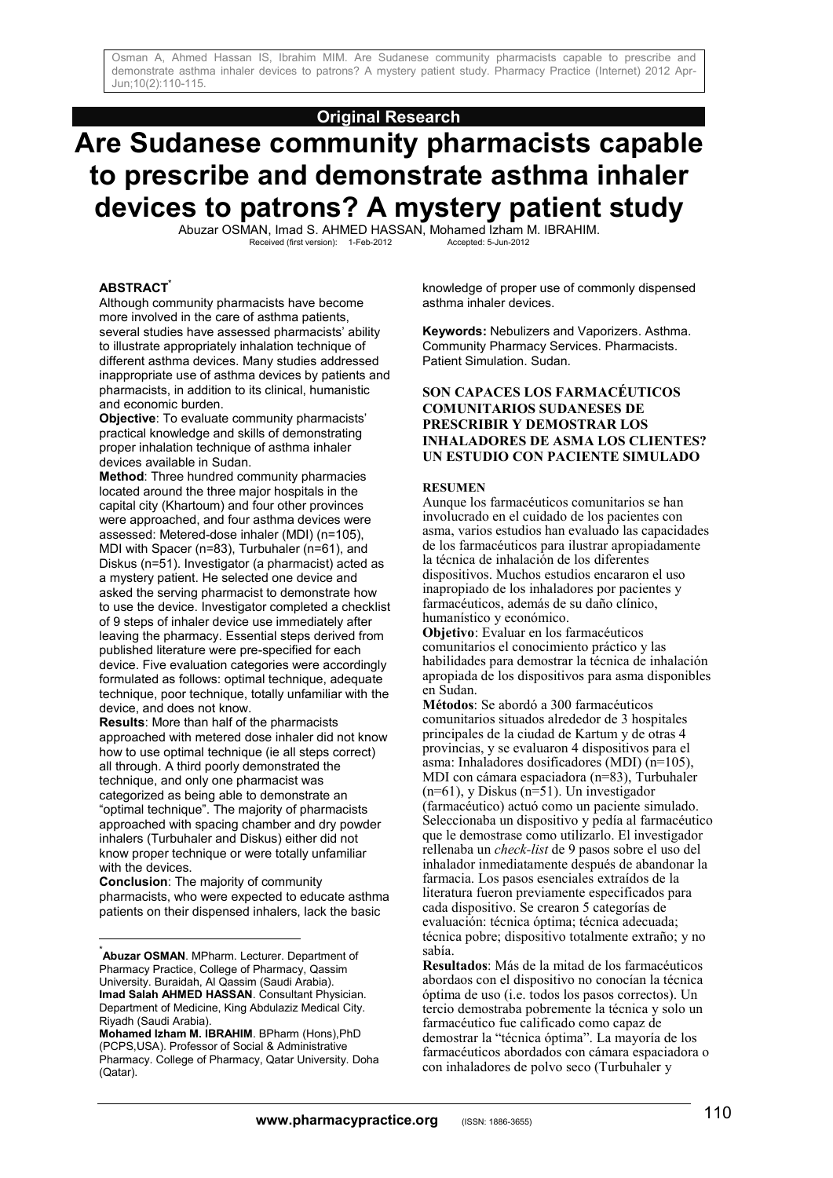# **Original Research**

# **Are Sudanese community pharmacists capable to prescribe and demonstrate asthma inhaler devices to patrons? A mystery patient study**

Abuzar OSMAN, Imad S. AHMED HASSAN, Mohamed Izham M. IBRAHIM. Received (first version): 1-Feb-2012 Accepted: 5-Jun-2012

# **ABSTRACT\***

Although community pharmacists have become more involved in the care of asthma patients, several studies have assessed pharmacists' ability to illustrate appropriately inhalation technique of different asthma devices. Many studies addressed inappropriate use of asthma devices by patients and pharmacists, in addition to its clinical, humanistic and economic burden.

**Objective**: To evaluate community pharmacists' practical knowledge and skills of demonstrating proper inhalation technique of asthma inhaler devices available in Sudan.

**Method**: Three hundred community pharmacies located around the three major hospitals in the capital city (Khartoum) and four other provinces were approached, and four asthma devices were assessed: Metered-dose inhaler (MDI) (n=105), MDI with Spacer (n=83), Turbuhaler (n=61), and Diskus (n=51). Investigator (a pharmacist) acted as a mystery patient. He selected one device and asked the serving pharmacist to demonstrate how to use the device. Investigator completed a checklist of 9 steps of inhaler device use immediately after leaving the pharmacy. Essential steps derived from published literature were pre-specified for each device. Five evaluation categories were accordingly formulated as follows: optimal technique, adequate technique, poor technique, totally unfamiliar with the device, and does not know.

**Results**: More than half of the pharmacists approached with metered dose inhaler did not know how to use optimal technique (ie all steps correct) all through. A third poorly demonstrated the technique, and only one pharmacist was categorized as being able to demonstrate an "optimal technique". The majority of pharmacists approached with spacing chamber and dry powder inhalers (Turbuhaler and Diskus) either did not know proper technique or were totally unfamiliar with the devices.

**Conclusion**: The majority of community pharmacists, who were expected to educate asthma patients on their dispensed inhalers, lack the basic

 $\overline{a}$ 

knowledge of proper use of commonly dispensed asthma inhaler devices.

**Keywords:** Nebulizers and Vaporizers. Asthma. Community Pharmacy Services. Pharmacists. Patient Simulation. Sudan.

# **SON CAPACES LOS FARMACÉUTICOS COMUNITARIOS SUDANESES DE PRESCRIBIR Y DEMOSTRAR LOS INHALADORES DE ASMA LOS CLIENTES? UN ESTUDIO CON PACIENTE SIMULADO**

## **RESUMEN**

Aunque los farmacéuticos comunitarios se han involucrado en el cuidado de los pacientes con asma, varios estudios han evaluado las capacidades de los farmacéuticos para ilustrar apropiadamente la técnica de inhalación de los diferentes dispositivos. Muchos estudios encararon el uso inapropiado de los inhaladores por pacientes y farmacéuticos, además de su daño clínico, humanístico y económico.

**Objetivo**: Evaluar en los farmacéuticos comunitarios el conocimiento práctico y las habilidades para demostrar la técnica de inhalación apropiada de los dispositivos para asma disponibles en Sudan.

**Métodos**: Se abordó a 300 farmacéuticos comunitarios situados alrededor de 3 hospitales principales de la ciudad de Kartum y de otras 4 provincias, y se evaluaron 4 dispositivos para el asma: Inhaladores dosificadores (MDI) (n=105), MDI con cámara espaciadora (n=83), Turbuhaler (n=61), y Diskus (n=51). Un investigador (farmacéutico) actuó como un paciente simulado. Seleccionaba un dispositivo y pedía al farmacéutico que le demostrase como utilizarlo. El investigador rellenaba un *check-list* de 9 pasos sobre el uso del inhalador inmediatamente después de abandonar la farmacia. Los pasos esenciales extraídos de la literatura fueron previamente especificados para cada dispositivo. Se crearon 5 categorías de evaluación: técnica óptima; técnica adecuada; técnica pobre; dispositivo totalmente extraño; y no sabía.

**Resultados**: Más de la mitad de los farmacéuticos abordaos con el dispositivo no conocían la técnica óptima de uso (i.e. todos los pasos correctos). Un tercio demostraba pobremente la técnica y solo un farmacéutico fue calificado como capaz de demostrar la "técnica óptima". La mayoría de los farmacéuticos abordados con cámara espaciadora o con inhaladores de polvo seco (Turbuhaler y

**Abuzar OSMAN**. MPharm. Lecturer. Department of Pharmacy Practice, College of Pharmacy, Qassim University. Buraidah, Al Qassim (Saudi Arabia). **Imad Salah AHMED HASSAN**. Consultant Physician. Department of Medicine, King Abdulaziz Medical City. Riyadh (Saudi Arabia).

**Mohamed Izham M. IBRAHIM**. BPharm (Hons),PhD (PCPS,USA). Professor of Social & Administrative Pharmacy. College of Pharmacy, Qatar University. Doha (Qatar).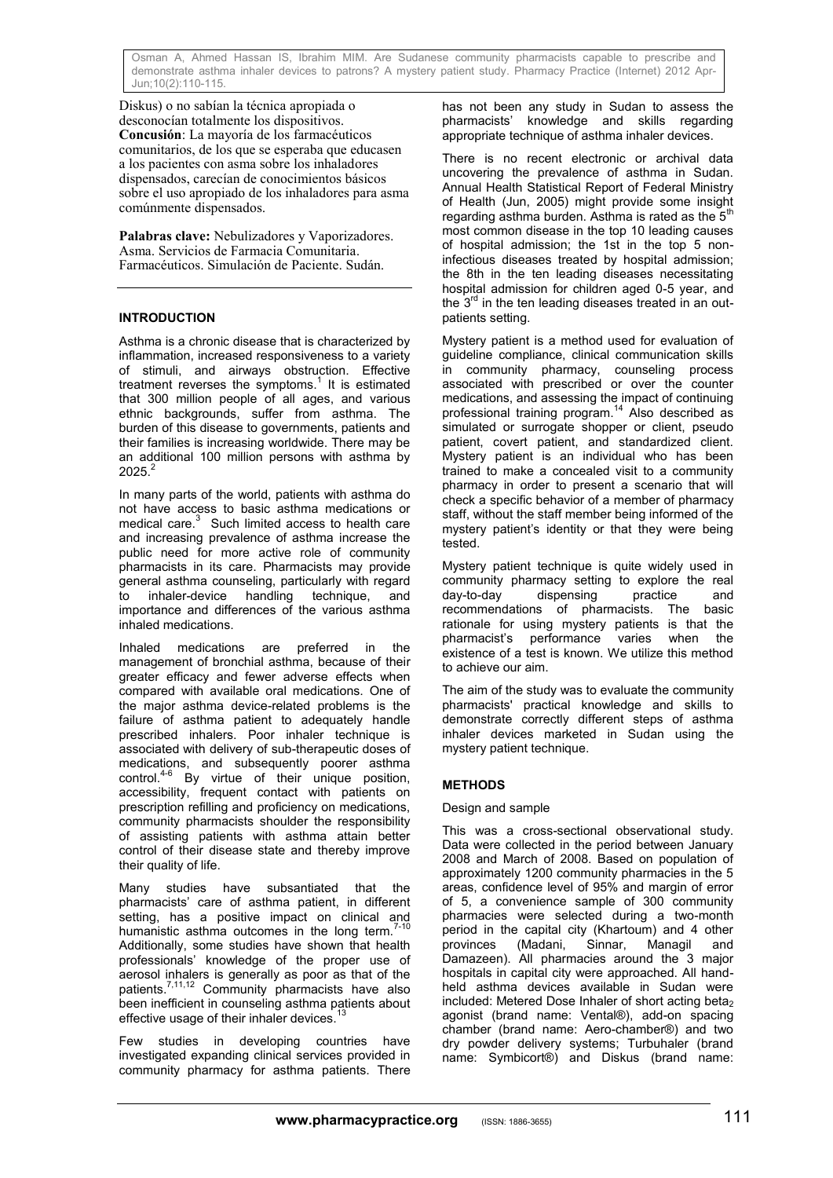Diskus) o no sabían la técnica apropiada o desconocían totalmente los dispositivos. **Concusión**: La mayoría de los farmacéuticos comunitarios, de los que se esperaba que educasen a los pacientes con asma sobre los inhaladores dispensados, carecían de conocimientos básicos sobre el uso apropiado de los inhaladores para asma comúnmente dispensados.

**Palabras clave:** Nebulizadores y Vaporizadores. Asma. Servicios de Farmacia Comunitaria. Farmacéuticos. Simulación de Paciente. Sudán.

# **INTRODUCTION**

Asthma is a chronic disease that is characterized by inflammation, increased responsiveness to a variety of stimuli, and airways obstruction. Effective treatment reverses the symptoms.<sup>1</sup> It is estimated that 300 million people of all ages, and various ethnic backgrounds, suffer from asthma. The burden of this disease to governments, patients and their families is increasing worldwide. There may be an additional 100 million persons with asthma by  $2025.<sup>2</sup>$ 

In many parts of the world, patients with asthma do not have access to basic asthma medications or medical care. $3$  Such limited access to health care and increasing prevalence of asthma increase the public need for more active role of community pharmacists in its care. Pharmacists may provide general asthma counseling, particularly with regard to inhaler-device handling technique, and importance and differences of the various asthma inhaled medications.

Inhaled medications are preferred in the management of bronchial asthma, because of their greater efficacy and fewer adverse effects when compared with available oral medications. One of the major asthma device-related problems is the failure of asthma patient to adequately handle prescribed inhalers. Poor inhaler technique is associated with delivery of sub-therapeutic doses of medications, and subsequently poorer asthma control.4-6 By virtue of their unique position, accessibility, frequent contact with patients on prescription refilling and proficiency on medications, community pharmacists shoulder the responsibility of assisting patients with asthma attain better control of their disease state and thereby improve their quality of life.

Many studies have subsantiated that the pharmacists' care of asthma patient, in different setting, has a positive impact on clinical and humanistic asthma outcomes in the long term.<sup>7-10</sup> Additionally, some studies have shown that health professionals' knowledge of the proper use of aerosol inhalers is generally as poor as that of the patients.<sup>7,11,12</sup> Community pharmacists have also been inefficient in counseling asthma patients about effective usage of their inhaler devices.<sup>13</sup>

Few studies in developing countries have investigated expanding clinical services provided in community pharmacy for asthma patients. There has not been any study in Sudan to assess the pharmacists' knowledge and skills regarding appropriate technique of asthma inhaler devices.

There is no recent electronic or archival data uncovering the prevalence of asthma in Sudan. Annual Health Statistical Report of Federal Ministry of Health (Jun, 2005) might provide some insight regarding asthma burden. Asthma is rated as the  $5<sup>t</sup>$ most common disease in the top 10 leading causes of hospital admission; the 1st in the top 5 noninfectious diseases treated by hospital admission; the 8th in the ten leading diseases necessitating hospital admission for children aged 0-5 year, and the  $3<sup>rd</sup>$  in the ten leading diseases treated in an outpatients setting.

Mystery patient is a method used for evaluation of guideline compliance, clinical communication skills in community pharmacy, counseling process associated with prescribed or over the counter medications, and assessing the impact of continuing professional training program.<sup>14</sup> Also described as simulated or surrogate shopper or client, pseudo patient, covert patient, and standardized client. Mystery patient is an individual who has been trained to make a concealed visit to a community pharmacy in order to present a scenario that will check a specific behavior of a member of pharmacy staff, without the staff member being informed of the mystery patient's identity or that they were being tested.

Mystery patient technique is quite widely used in community pharmacy setting to explore the real day-to-day dispensing practice and recommendations of pharmacists. The basic rationale for using mystery patients is that the pharmacist's performance varies when the existence of a test is known. We utilize this method to achieve our aim.

The aim of the study was to evaluate the community pharmacists' practical knowledge and skills to demonstrate correctly different steps of asthma inhaler devices marketed in Sudan using the mystery patient technique.

# **METHODS**

# Design and sample

This was a cross-sectional observational study. Data were collected in the period between January 2008 and March of 2008. Based on population of approximately 1200 community pharmacies in the 5 areas, confidence level of 95% and margin of error of 5, a convenience sample of 300 community pharmacies were selected during a two-month period in the capital city (Khartoum) and 4 other<br>provinces (Madani, Sinnar, Managil and provinces (Madani, Sinnar, Managil and Damazeen). All pharmacies around the 3 major hospitals in capital city were approached. All handheld asthma devices available in Sudan were included: Metered Dose Inhaler of short acting beta<sub>2</sub> agonist (brand name: Vental®), add-on spacing chamber (brand name: Aero-chamber®) and two dry powder delivery systems; Turbuhaler (brand name: Symbicort®) and Diskus (brand name: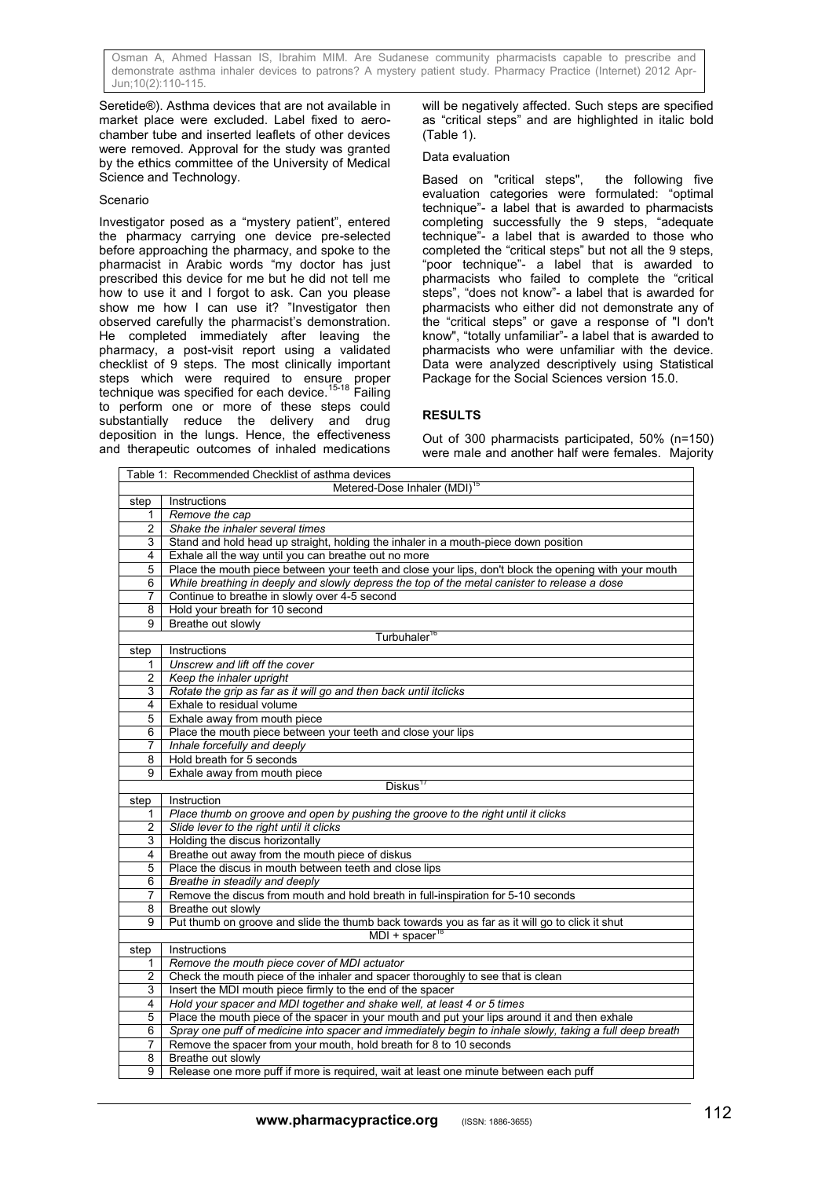Seretide®). Asthma devices that are not available in market place were excluded. Label fixed to aerochamber tube and inserted leaflets of other devices were removed. Approval for the study was granted by the ethics committee of the University of Medical Science and Technology.

#### **Scenario**

Investigator posed as a "mystery patient", entered the pharmacy carrying one device pre-selected before approaching the pharmacy, and spoke to the pharmacist in Arabic words "my doctor has just prescribed this device for me but he did not tell me how to use it and I forgot to ask. Can you please show me how I can use it? "Investigator then observed carefully the pharmacist's demonstration. He completed immediately after leaving the pharmacy, a post-visit report using a validated checklist of 9 steps. The most clinically important steps which were required to ensure proper<br>technique was specified for each device.<sup>15-18</sup> Failing to perform one or more of these steps could substantially reduce the delivery and drug deposition in the lungs. Hence, the effectiveness and therapeutic outcomes of inhaled medications

will be negatively affected. Such steps are specified as "critical steps" and are highlighted in italic bold (Table 1).

#### Data evaluation

Based on "critical steps", the following five evaluation categories were formulated: "optimal technique"- a label that is awarded to pharmacists completing successfully the 9 steps, "adequate technique"- a label that is awarded to those who completed the "critical steps" but not all the 9 steps, "poor technique"- a label that is awarded to pharmacists who failed to complete the "critical steps", "does not know"- a label that is awarded for pharmacists who either did not demonstrate any of the "critical steps" or gave a response of "I don't know", "totally unfamiliar"- a label that is awarded to pharmacists who were unfamiliar with the device. Data were analyzed descriptively using Statistical Package for the Social Sciences version 15.0.

# **RESULTS**

Out of 300 pharmacists participated, 50% (n=150) were male and another half were females. Majority

| Table 1: Recommended Checklist of asthma devices |                                                                                                          |
|--------------------------------------------------|----------------------------------------------------------------------------------------------------------|
| Metered-Dose Inhaler (MDI) <sup>15</sup>         |                                                                                                          |
| step                                             | Instructions                                                                                             |
| $\mathbf{1}$                                     | Remove the cap                                                                                           |
| $\overline{c}$                                   | Shake the inhaler several times                                                                          |
| 3                                                | Stand and hold head up straight, holding the inhaler in a mouth-piece down position                      |
| 4                                                | Exhale all the way until you can breathe out no more                                                     |
| 5                                                | Place the mouth piece between your teeth and close your lips, don't block the opening with your mouth    |
| 6                                                | While breathing in deeply and slowly depress the top of the metal canister to release a dose             |
| $\overline{7}$                                   | Continue to breathe in slowly over 4-5 second                                                            |
| 8                                                | Hold your breath for 10 second                                                                           |
| 9                                                | Breathe out slowly                                                                                       |
| Turbuhaler <sup>16</sup>                         |                                                                                                          |
| step                                             | Instructions                                                                                             |
| 1                                                | Unscrew and lift off the cover                                                                           |
| $\overline{2}$                                   | Keep the inhaler upright                                                                                 |
| 3                                                | Rotate the grip as far as it will go and then back until itclicks                                        |
| 4                                                | Exhale to residual volume                                                                                |
| 5                                                | Exhale away from mouth piece                                                                             |
| 6                                                | Place the mouth piece between your teeth and close your lips                                             |
| $\overline{7}$                                   | Inhale forcefully and deeply                                                                             |
| 8                                                | Hold breath for 5 seconds                                                                                |
| 9                                                | Exhale away from mouth piece                                                                             |
| Diskus <sup>17</sup>                             |                                                                                                          |
| step                                             | Instruction                                                                                              |
| 1                                                | Place thumb on groove and open by pushing the groove to the right until it clicks                        |
| $\overline{c}$                                   | Slide lever to the right until it clicks                                                                 |
| 3                                                | Holding the discus horizontally                                                                          |
| 4                                                | Breathe out away from the mouth piece of diskus                                                          |
| 5                                                | Place the discus in mouth between teeth and close lips                                                   |
| 6                                                | Breathe in steadily and deeply                                                                           |
| 7                                                | Remove the discus from mouth and hold breath in full-inspiration for 5-10 seconds                        |
| 8                                                | Breathe out slowly                                                                                       |
| 9                                                | Put thumb on groove and slide the thumb back towards you as far as it will go to click it shut           |
| $MDI + spacer18$                                 |                                                                                                          |
| step                                             | Instructions                                                                                             |
| 1                                                | Remove the mouth piece cover of MDI actuator                                                             |
| 2                                                | Check the mouth piece of the inhaler and spacer thoroughly to see that is clean                          |
| 3                                                | Insert the MDI mouth piece firmly to the end of the spacer                                               |
| 4                                                | Hold your spacer and MDI together and shake well, at least 4 or 5 times                                  |
| 5                                                | Place the mouth piece of the spacer in your mouth and put your lips around it and then exhale            |
| 6                                                | Spray one puff of medicine into spacer and immediately begin to inhale slowly, taking a full deep breath |
| $\overline{7}$                                   | Remove the spacer from your mouth, hold breath for 8 to 10 seconds                                       |
| 8                                                | Breathe out slowly                                                                                       |
| $\overline{9}$                                   | Release one more puff if more is required, wait at least one minute between each puff                    |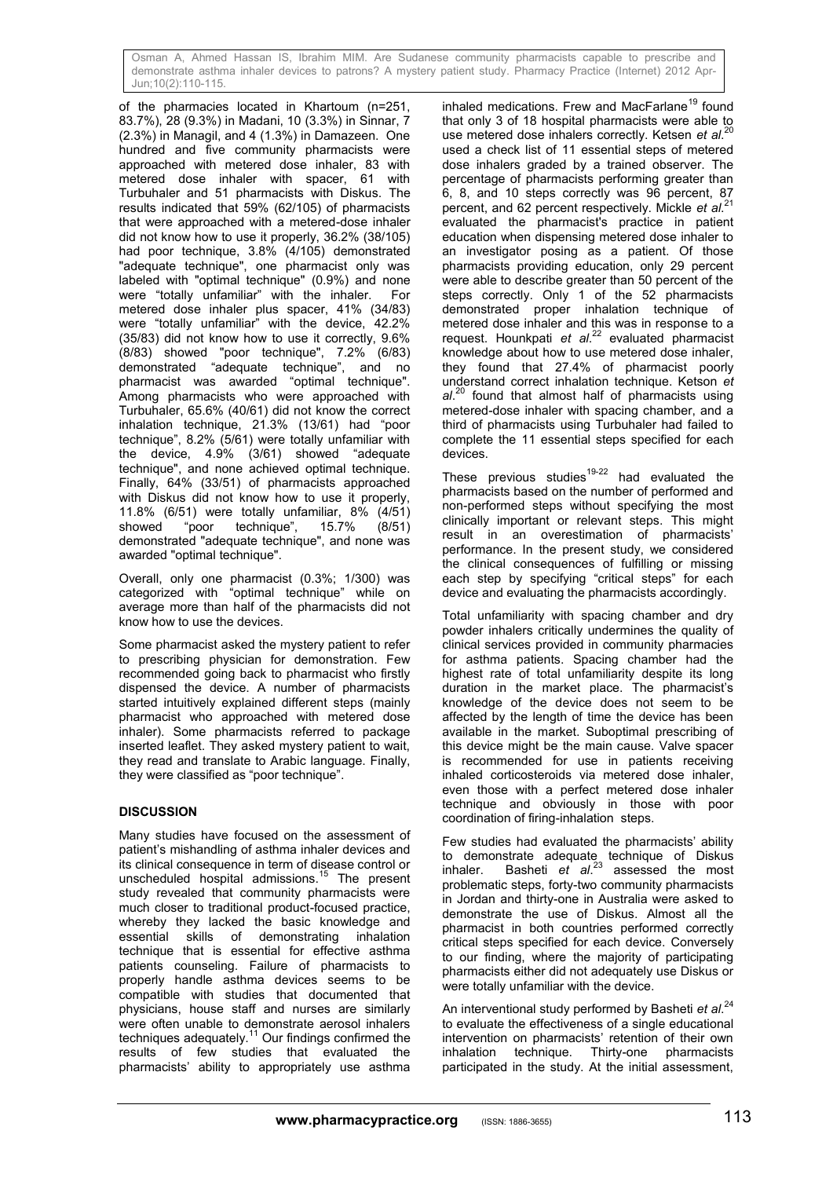of the pharmacies located in Khartoum (n=251, 83.7%), 28 (9.3%) in Madani, 10 (3.3%) in Sinnar, 7 (2.3%) in Managil, and 4 (1.3%) in Damazeen. One hundred and five community pharmacists were approached with metered dose inhaler, 83 with metered dose inhaler with spacer, 61 with Turbuhaler and 51 pharmacists with Diskus. The results indicated that 59% (62/105) of pharmacists that were approached with a metered-dose inhaler did not know how to use it properly, 36.2% (38/105) had poor technique, 3.8% (4/105) demonstrated "adequate technique", one pharmacist only was labeled with "optimal technique" (0.9%) and none were "totally unfamiliar" with the inhaler. For metered dose inhaler plus spacer, 41% (34/83) were "totally unfamiliar" with the device, 42.2% (35/83) did not know how to use it correctly, 9.6% (8/83) showed "poor technique", 7.2% (6/83) demonstrated "adequate technique", and no pharmacist was awarded "optimal technique". Among pharmacists who were approached with Turbuhaler, 65.6% (40/61) did not know the correct inhalation technique, 21.3% (13/61) had "poor technique", 8.2% (5/61) were totally unfamiliar with the device, 4.9% (3/61) showed "adequate technique", and none achieved optimal technique. Finally, 64% (33/51) of pharmacists approached with Diskus did not know how to use it properly, 11.8% (6/51) were totally unfamiliar, 8% (4/51)  $technique", 15.7% (8/51)$ demonstrated "adequate technique", and none was awarded "optimal technique".

Overall, only one pharmacist (0.3%; 1/300) was categorized with "optimal technique" while on average more than half of the pharmacists did not know how to use the devices.

Some pharmacist asked the mystery patient to refer to prescribing physician for demonstration. Few recommended going back to pharmacist who firstly dispensed the device. A number of pharmacists started intuitively explained different steps (mainly pharmacist who approached with metered dose inhaler). Some pharmacists referred to package inserted leaflet. They asked mystery patient to wait, they read and translate to Arabic language. Finally, they were classified as "poor technique".

# **DISCUSSION**

Many studies have focused on the assessment of patient's mishandling of asthma inhaler devices and its clinical consequence in term of disease control or unscheduled hospital admissions.<sup>15</sup> The present study revealed that community pharmacists were much closer to traditional product-focused practice, whereby they lacked the basic knowledge and essential skills of demonstrating inhalation technique that is essential for effective asthma patients counseling. Failure of pharmacists to properly handle asthma devices seems to be compatible with studies that documented that physicians, house staff and nurses are similarly were often unable to demonstrate aerosol inhalers techniques adequately.<sup>11</sup> Our findings confirmed the results of few studies that evaluated the pharmacists' ability to appropriately use asthma inhaled medications. Frew and MacFarlane<sup>19</sup> found that only 3 of 18 hospital pharmacists were able to the motor description of  $\alpha^{120}$ use metered dose inhalers correctly. Ketsen *et al*. used a check list of 11 essential steps of metered dose inhalers graded by a trained observer. The percentage of pharmacists performing greater than 6, 8, and 10 steps correctly was 96 percent, 87 percent, and 62 percent respectively. Mickle *et al*. 21 evaluated the pharmacist's practice in patient education when dispensing metered dose inhaler to an investigator posing as a patient. Of those pharmacists providing education, only 29 percent were able to describe greater than 50 percent of the steps correctly. Only 1 of the 52 pharmacists demonstrated proper inhalation technique of metered dose inhaler and this was in response to a request. Hounkpati *et al*. 22 evaluated pharmacist knowledge about how to use metered dose inhaler, they found that 27.4% of pharmacist poorly understand correct inhalation technique. Ketson *et*  al.<sup>20</sup> found that almost half of pharmacists using metered-dose inhaler with spacing chamber, and a third of pharmacists using Turbuhaler had failed to complete the 11 essential steps specified for each devices.

These previous studies $19-22$  had evaluated the pharmacists based on the number of performed and non-performed steps without specifying the most clinically important or relevant steps. This might result in an overestimation of pharmacists' performance. In the present study, we considered the clinical consequences of fulfilling or missing each step by specifying "critical steps" for each device and evaluating the pharmacists accordingly.

Total unfamiliarity with spacing chamber and dry powder inhalers critically undermines the quality of clinical services provided in community pharmacies for asthma patients. Spacing chamber had the highest rate of total unfamiliarity despite its long duration in the market place. The pharmacist's knowledge of the device does not seem to be affected by the length of time the device has been available in the market. Suboptimal prescribing of this device might be the main cause. Valve spacer is recommended for use in patients receiving inhaled corticosteroids via metered dose inhaler, even those with a perfect metered dose inhaler technique and obviously in those with poor coordination of firing-inhalation steps.

Few studies had evaluated the pharmacists' ability to demonstrate adequate technique of Diskus inhaler. Basheti *et al*. 23 assessed the most problematic steps, forty-two community pharmacists in Jordan and thirty-one in Australia were asked to demonstrate the use of Diskus. Almost all the pharmacist in both countries performed correctly critical steps specified for each device. Conversely to our finding, where the majority of participating pharmacists either did not adequately use Diskus or were totally unfamiliar with the device.

An interventional study performed by Basheti *et al*. 24 to evaluate the effectiveness of a single educational intervention on pharmacists' retention of their own inhalation technique. Thirty-one pharmacists participated in the study. At the initial assessment,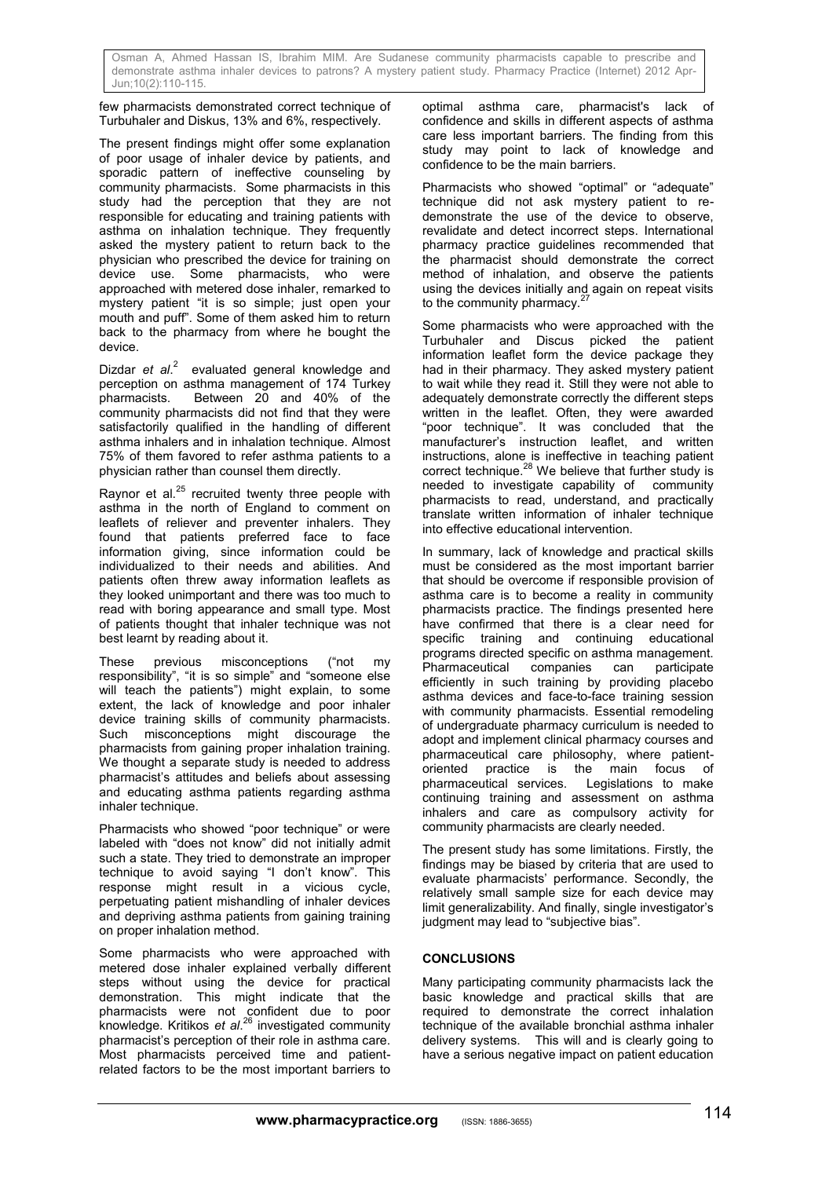few pharmacists demonstrated correct technique of Turbuhaler and Diskus, 13% and 6%, respectively.

The present findings might offer some explanation of poor usage of inhaler device by patients, and sporadic pattern of ineffective counseling by community pharmacists. Some pharmacists in this study had the perception that they are not responsible for educating and training patients with asthma on inhalation technique. They frequently asked the mystery patient to return back to the physician who prescribed the device for training on device use. Some pharmacists, who were approached with metered dose inhaler, remarked to mystery patient "it is so simple; just open your mouth and puff". Some of them asked him to return back to the pharmacy from where he bought the device.

Dizdar et al.<sup>2</sup> evaluated general knowledge and perception on asthma management of 174 Turkey pharmacists. Between 20 and 40% of the community pharmacists did not find that they were satisfactorily qualified in the handling of different asthma inhalers and in inhalation technique. Almost 75% of them favored to refer asthma patients to a physician rather than counsel them directly.

Raynor et al. $25$  recruited twenty three people with asthma in the north of England to comment on leaflets of reliever and preventer inhalers. They found that patients preferred face to face information giving, since information could be individualized to their needs and abilities. And patients often threw away information leaflets as they looked unimportant and there was too much to read with boring appearance and small type. Most of patients thought that inhaler technique was not best learnt by reading about it.

These previous misconceptions ("not my responsibility", "it is so simple" and "someone else will teach the patients") might explain, to some extent, the lack of knowledge and poor inhaler device training skills of community pharmacists. Such misconceptions might discourage the pharmacists from gaining proper inhalation training. We thought a separate study is needed to address pharmacist's attitudes and beliefs about assessing and educating asthma patients regarding asthma inhaler technique.

Pharmacists who showed "poor technique" or were labeled with "does not know" did not initially admit such a state. They tried to demonstrate an improper technique to avoid saying "I don't know". This response might result in a vicious cycle, perpetuating patient mishandling of inhaler devices and depriving asthma patients from gaining training on proper inhalation method.

Some pharmacists who were approached with metered dose inhaler explained verbally different steps without using the device for practical demonstration. This might indicate that the pharmacists were not confident due to poor .<br>knowledge. Kritikos et al.<sup>26</sup> investigated community pharmacist's perception of their role in asthma care. Most pharmacists perceived time and patientrelated factors to be the most important barriers to optimal asthma care, pharmacist's lack of confidence and skills in different aspects of asthma care less important barriers. The finding from this study may point to lack of knowledge and confidence to be the main barriers.

Pharmacists who showed "optimal" or "adequate" technique did not ask mystery patient to redemonstrate the use of the device to observe, revalidate and detect incorrect steps. International pharmacy practice guidelines recommended that the pharmacist should demonstrate the correct method of inhalation, and observe the patients using the devices initially and again on repeat visits to the community pharmacy. $27$ 

Some pharmacists who were approached with the Turbuhaler and Discus picked the patient information leaflet form the device package they had in their pharmacy. They asked mystery patient to wait while they read it. Still they were not able to adequately demonstrate correctly the different steps written in the leaflet. Often, they were awarded "poor technique". It was concluded that the manufacturer's instruction leaflet, and written instructions, alone is ineffective in teaching patient correct technique.<sup>28</sup> We believe that further study is needed to investigate capability of community pharmacists to read, understand, and practically translate written information of inhaler technique into effective educational intervention.

In summary, lack of knowledge and practical skills must be considered as the most important barrier that should be overcome if responsible provision of asthma care is to become a reality in community pharmacists practice. The findings presented here have confirmed that there is a clear need for specific training and continuing educational programs directed specific on asthma management. Pharmaceutical companies can participate efficiently in such training by providing placebo asthma devices and face-to-face training session with community pharmacists. Essential remodeling of undergraduate pharmacy curriculum is needed to adopt and implement clinical pharmacy courses and pharmaceutical care philosophy, where patientoriented practice is the main focus of pharmaceutical services. Legislations to make continuing training and assessment on asthma inhalers and care as compulsory activity for community pharmacists are clearly needed.

The present study has some limitations. Firstly, the findings may be biased by criteria that are used to evaluate pharmacists' performance. Secondly, the relatively small sample size for each device may limit generalizability. And finally, single investigator's judgment may lead to "subjective bias".

# **CONCLUSIONS**

Many participating community pharmacists lack the basic knowledge and practical skills that are required to demonstrate the correct inhalation technique of the available bronchial asthma inhaler delivery systems. This will and is clearly going to have a serious negative impact on patient education